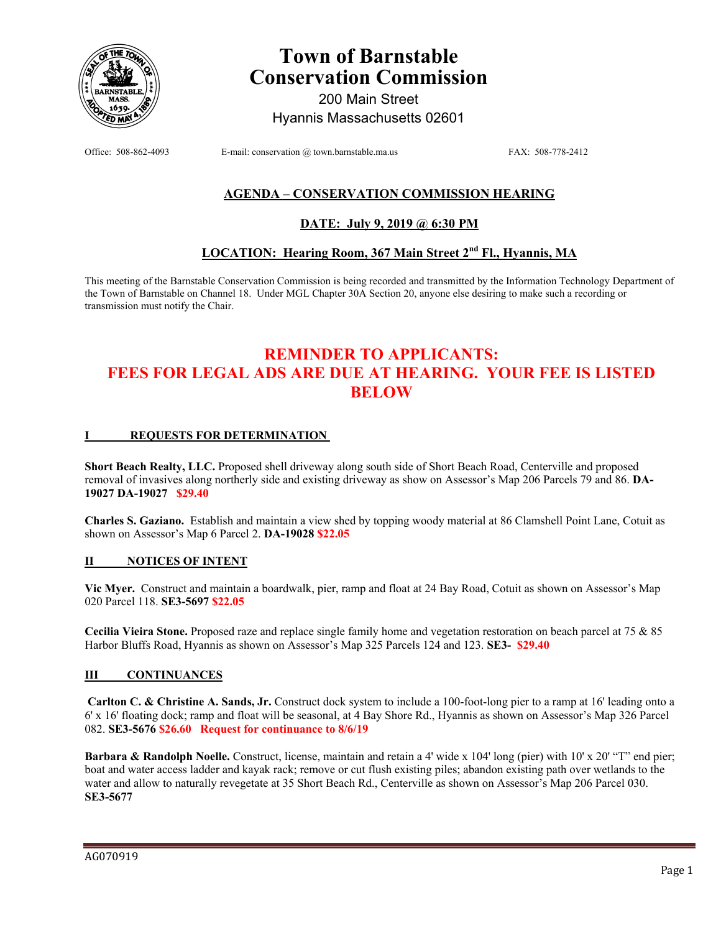

# **Town of Barnstable Conservation Commission**

200 Main Street Hyannis Massachusetts 02601

Office: 508-862-4093 E-mail: conservation @ town.barnstable.ma.us FAX: 508-778-2412

# **AGENDA – CONSERVATION COMMISSION HEARING**

## **DATE: July 9, 2019 @ 6:30 PM**

# **LOCATION: Hearing Room, 367 Main Street 2nd Fl., Hyannis, MA**

This meeting of the Barnstable Conservation Commission is being recorded and transmitted by the Information Technology Department of the Town of Barnstable on Channel 18. Under MGL Chapter 30A Section 20, anyone else desiring to make such a recording or transmission must notify the Chair.

# **REMINDER TO APPLICANTS: FEES FOR LEGAL ADS ARE DUE AT HEARING. YOUR FEE IS LISTED BELOW**

#### **I REQUESTS FOR DETERMINATION**

**Short Beach Realty, LLC.** Proposed shell driveway along south side of Short Beach Road, Centerville and proposed removal of invasives along northerly side and existing driveway as show on Assessor's Map 206 Parcels 79 and 86. **DA-19027 DA-19027 \$29.40**

**Charles S. Gaziano.** Establish and maintain a view shed by topping woody material at 86 Clamshell Point Lane, Cotuit as shown on Assessor's Map 6 Parcel 2. **DA-19028 \$22.05**

#### **II NOTICES OF INTENT**

**Vic Myer.** Construct and maintain a boardwalk, pier, ramp and float at 24 Bay Road, Cotuit as shown on Assessor's Map 020 Parcel 118. **SE3-5697 \$22.05** 

**Cecilia Vieira Stone.** Proposed raze and replace single family home and vegetation restoration on beach parcel at 75 & 85 Harbor Bluffs Road, Hyannis as shown on Assessor's Map 325 Parcels 124 and 123. **SE3- \$29.40**

#### **III CONTINUANCES**

**Carlton C. & Christine A. Sands, Jr.** Construct dock system to include a 100-foot-long pier to a ramp at 16' leading onto a 6' x 16' floating dock; ramp and float will be seasonal, at 4 Bay Shore Rd., Hyannis as shown on Assessor's Map 326 Parcel 082. **SE3-5676 \$26.60 Request for continuance to 8/6/19** 

**Barbara & Randolph Noelle.** Construct, license, maintain and retain a 4' wide x 104' long (pier) with 10' x 20' "T" end pier; boat and water access ladder and kayak rack; remove or cut flush existing piles; abandon existing path over wetlands to the water and allow to naturally revegetate at 35 Short Beach Rd., Centerville as shown on Assessor's Map 206 Parcel 030. **SE3-5677**